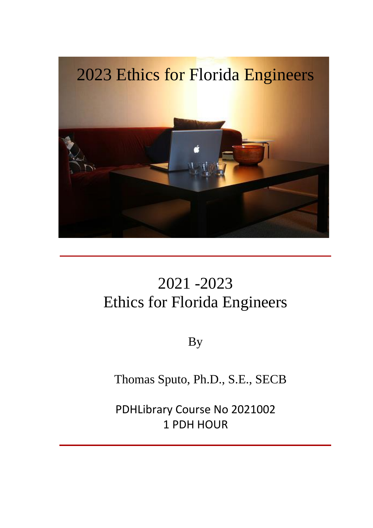

# 2021 -2023 Ethics for Florida Engineers

By

Thomas Sputo, Ph.D., S.E., SECB

PDHLibrary Course No 2021002 1 PDH HOUR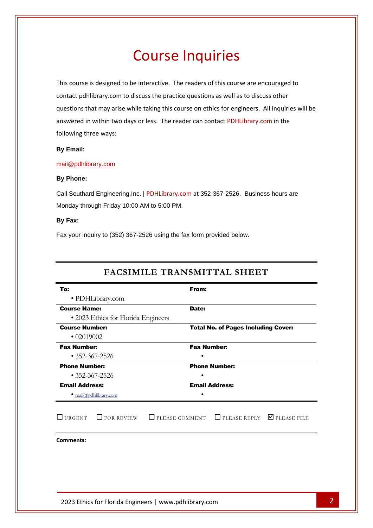# Course Inquiries

This course is designed to be interactive. The readers of this course are encouraged to contact pdhlibrary.com to discuss the practice questions as well as to discuss other questions that may arise while taking this course on ethics for engineers. All inquiries will be answered in within two days or less. The reader can contact PDHLibrary.com in the following three ways:

#### **By Email:**

#### [mail@pdhlibrary.com](mailto:mail@pdhlibrary.com)

## **By Phone:**

Call Southard Engineering,Inc. | PDHLibrary.com at 352-367-2526. Business hours are Monday through Friday 10:00 AM to 5:00 PM.

#### **By Fax:**

Fax your inquiry to (352) 367-2526 using the fax form provided below.

| To:                           |                                     | From:                                      |                                        |
|-------------------------------|-------------------------------------|--------------------------------------------|----------------------------------------|
|                               | · PDHLibrary.com                    |                                            |                                        |
| <b>Course Name:</b>           |                                     | Date:                                      |                                        |
|                               | • 2023 Ethics for Florida Engineers |                                            |                                        |
| <b>Course Number:</b>         |                                     | <b>Total No. of Pages Including Cover:</b> |                                        |
| $\cdot$ 02019002              |                                     |                                            |                                        |
| <b>Fax Number:</b>            |                                     | <b>Fax Number:</b>                         |                                        |
| $\cdot$ 352-367-2526          |                                     |                                            |                                        |
| <b>Phone Number:</b>          |                                     | <b>Phone Number:</b>                       |                                        |
| $\cdot$ 352-367-2526          |                                     |                                            |                                        |
| <b>Email Address:</b>         |                                     | <b>Email Address:</b>                      |                                        |
| $\bullet$ mail@pdhlibrary.com |                                     | ٠                                          |                                        |
| <b>URGENT</b>                 | $\Box$ FOR REVIEW                   | $\Box$ PLEASE COMMENT                      | $\Box$ PLEASE REPLY $\Box$ PLEASE FILE |
| <b>Comments:</b>              |                                     |                                            |                                        |
|                               |                                     |                                            |                                        |
|                               |                                     |                                            |                                        |
|                               |                                     |                                            |                                        |
|                               |                                     |                                            |                                        |

# **FACSIMILE TRANSMITTAL SHEET**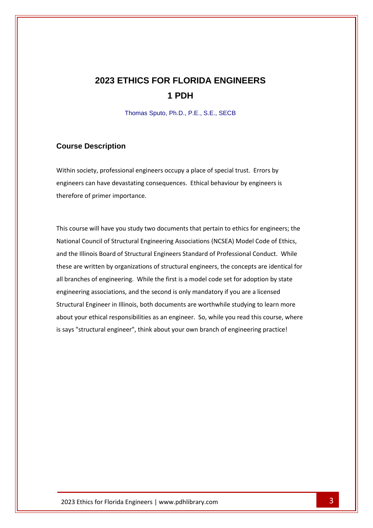# **2023 ETHICS FOR FLORIDA ENGINEERS 1 PDH**

Thomas Sputo, Ph.D., P.E., S.E., SECB

## **Course Description**

Within society, professional engineers occupy a place of special trust. Errors by engineers can have devastating consequences. Ethical behaviour by engineers is therefore of primer importance.

This course will have you study two documents that pertain to ethics for engineers; the National Council of Structural Engineering Associations (NCSEA) Model Code of Ethics, and the Illinois Board of Structural Engineers Standard of Professional Conduct. While these are written by organizations of structural engineers, the concepts are identical for all branches of engineering. While the first is a model code set for adoption by state engineering associations, and the second is only mandatory if you are a licensed Structural Engineer in Illinois, both documents are worthwhile studying to learn more about your ethical responsibilities as an engineer. So, while you read this course, where is says "structural engineer", think about your own branch of engineering practice!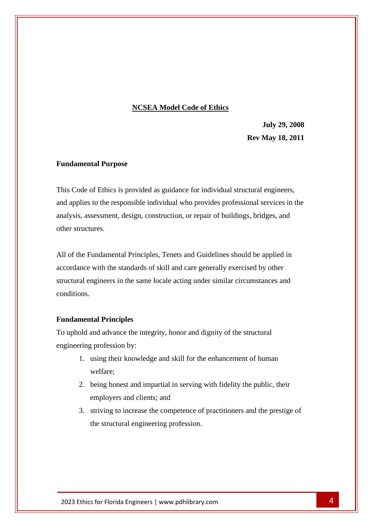## **NCSEA Model Code of Ethics**

**July 29, 2008 Rev May 18, 2011**

#### **Fundamental Purpose**

This Code of Ethics is provided as guidance for individual structural engineers, and applies to the responsible individual who provides professional services in the analysis, assessment, design, construction, or repair of buildings, bridges, and other structures.

All of the Fundamental Principles, Tenets and Guidelines should be applied in accordance with the standards of skill and care generally exercised by other structural engineers in the same locale acting under similar circumstances and conditions.

## **Fundamental Principles**

To uphold and advance the integrity, honor and dignity of the structural engineering profession by:

- 1. using their knowledge and skill for the enhancement of human welfare;
- 2. being honest and impartial in serving with fidelity the public, their employers and clients; and
- 3. striving to increase the competence of practitioners and the prestige of the structural engineering profession.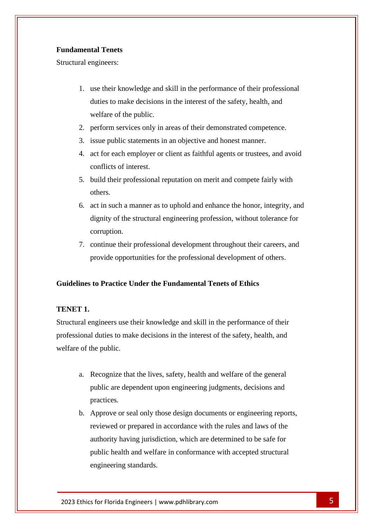# **Fundamental Tenets**

Structural engineers:

- 1. use their knowledge and skill in the performance of their professional duties to make decisions in the interest of the safety, health, and welfare of the public.
- 2. perform services only in areas of their demonstrated competence.
- 3. issue public statements in an objective and honest manner.
- 4. act for each employer or client as faithful agents or trustees, and avoid conflicts of interest.
- 5. build their professional reputation on merit and compete fairly with others.
- 6. act in such a manner as to uphold and enhance the honor, integrity, and dignity of the structural engineering profession, without tolerance for corruption.
- 7. continue their professional development throughout their careers, and provide opportunities for the professional development of others.

# **Guidelines to Practice Under the Fundamental Tenets of Ethics**

# **TENET 1.**

Structural engineers use their knowledge and skill in the performance of their professional duties to make decisions in the interest of the safety, health, and welfare of the public.

- a. Recognize that the lives, safety, health and welfare of the general public are dependent upon engineering judgments, decisions and practices.
- b. Approve or seal only those design documents or engineering reports, reviewed or prepared in accordance with the rules and laws of the authority having jurisdiction, which are determined to be safe for public health and welfare in conformance with accepted structural engineering standards.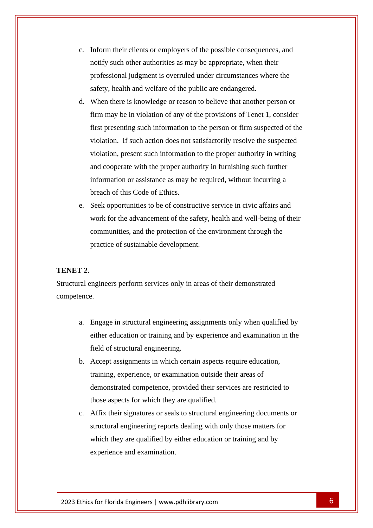- c. Inform their clients or employers of the possible consequences, and notify such other authorities as may be appropriate, when their professional judgment is overruled under circumstances where the safety, health and welfare of the public are endangered.
- d. When there is knowledge or reason to believe that another person or firm may be in violation of any of the provisions of Tenet 1, consider first presenting such information to the person or firm suspected of the violation. If such action does not satisfactorily resolve the suspected violation, present such information to the proper authority in writing and cooperate with the proper authority in furnishing such further information or assistance as may be required, without incurring a breach of this Code of Ethics.
- e. Seek opportunities to be of constructive service in civic affairs and work for the advancement of the safety, health and well-being of their communities, and the protection of the environment through the practice of sustainable development.

# **TENET 2.**

Structural engineers perform services only in areas of their demonstrated competence.

- a. Engage in structural engineering assignments only when qualified by either education or training and by experience and examination in the field of structural engineering.
- b. Accept assignments in which certain aspects require education, training, experience, or examination outside their areas of demonstrated competence, provided their services are restricted to those aspects for which they are qualified.
- c. Affix their signatures or seals to structural engineering documents or structural engineering reports dealing with only those matters for which they are qualified by either education or training and by experience and examination.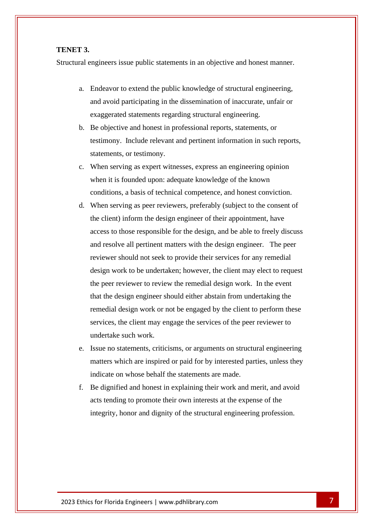## **TENET 3.**

Structural engineers issue public statements in an objective and honest manner.

- a. Endeavor to extend the public knowledge of structural engineering, and avoid participating in the dissemination of inaccurate, unfair or exaggerated statements regarding structural engineering.
- b. Be objective and honest in professional reports, statements, or testimony. Include relevant and pertinent information in such reports, statements, or testimony.
- c. When serving as expert witnesses, express an engineering opinion when it is founded upon: adequate knowledge of the known conditions, a basis of technical competence, and honest conviction.
- d. When serving as peer reviewers, preferably (subject to the consent of the client) inform the design engineer of their appointment, have access to those responsible for the design, and be able to freely discuss and resolve all pertinent matters with the design engineer. The peer reviewer should not seek to provide their services for any remedial design work to be undertaken; however, the client may elect to request the peer reviewer to review the remedial design work. In the event that the design engineer should either abstain from undertaking the remedial design work or not be engaged by the client to perform these services, the client may engage the services of the peer reviewer to undertake such work.
- e. Issue no statements, criticisms, or arguments on structural engineering matters which are inspired or paid for by interested parties, unless they indicate on whose behalf the statements are made.
- f. Be dignified and honest in explaining their work and merit, and avoid acts tending to promote their own interests at the expense of the integrity, honor and dignity of the structural engineering profession.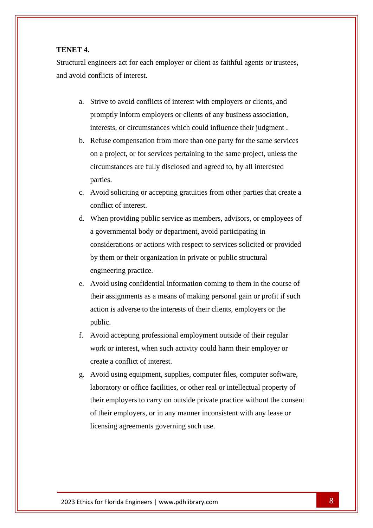## **TENET 4.**

Structural engineers act for each employer or client as faithful agents or trustees, and avoid conflicts of interest.

- a. Strive to avoid conflicts of interest with employers or clients, and promptly inform employers or clients of any business association, interests, or circumstances which could influence their judgment .
- b. Refuse compensation from more than one party for the same services on a project, or for services pertaining to the same project, unless the circumstances are fully disclosed and agreed to, by all interested parties.
- c. Avoid soliciting or accepting gratuities from other parties that create a conflict of interest.
- d. When providing public service as members, advisors, or employees of a governmental body or department, avoid participating in considerations or actions with respect to services solicited or provided by them or their organization in private or public structural engineering practice.
- e. Avoid using confidential information coming to them in the course of their assignments as a means of making personal gain or profit if such action is adverse to the interests of their clients, employers or the public.
- f. Avoid accepting professional employment outside of their regular work or interest, when such activity could harm their employer or create a conflict of interest.
- g. Avoid using equipment, supplies, computer files, computer software, laboratory or office facilities, or other real or intellectual property of their employers to carry on outside private practice without the consent of their employers, or in any manner inconsistent with any lease or licensing agreements governing such use.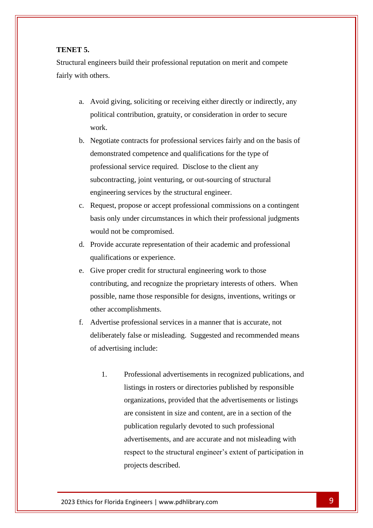## **TENET 5.**

Structural engineers build their professional reputation on merit and compete fairly with others.

- a. Avoid giving, soliciting or receiving either directly or indirectly, any political contribution, gratuity, or consideration in order to secure work.
- b. Negotiate contracts for professional services fairly and on the basis of demonstrated competence and qualifications for the type of professional service required. Disclose to the client any subcontracting, joint venturing, or out-sourcing of structural engineering services by the structural engineer.
- c. Request, propose or accept professional commissions on a contingent basis only under circumstances in which their professional judgments would not be compromised.
- d. Provide accurate representation of their academic and professional qualifications or experience.
- e. Give proper credit for structural engineering work to those contributing, and recognize the proprietary interests of others. When possible, name those responsible for designs, inventions, writings or other accomplishments.
- f. Advertise professional services in a manner that is accurate, not deliberately false or misleading. Suggested and recommended means of advertising include:
	- 1. Professional advertisements in recognized publications, and listings in rosters or directories published by responsible organizations, provided that the advertisements or listings are consistent in size and content, are in a section of the publication regularly devoted to such professional advertisements, and are accurate and not misleading with respect to the structural engineer's extent of participation in projects described.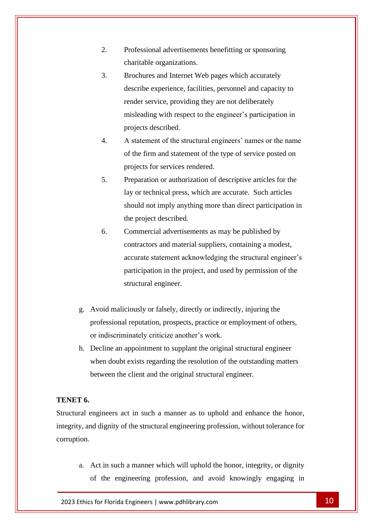- 2. Professional advertisements benefitting or sponsoring charitable organizations.
- 3. Brochures and Internet Web pages which accurately describe experience, facilities, personnel and capacity to render service, providing they are not deliberately misleading with respect to the engineer's participation in projects described.
- 4. A statement of the structural engineers' names or the name of the firm and statement of the type of service posted on projects for services rendered.
- 5. Preparation or authorization of descriptive articles for the lay or technical press, which are accurate. Such articles should not imply anything more than direct participation in the project described.
- 6. Commercial advertisements as may be published by contractors and material suppliers, containing a modest, accurate statement acknowledging the structural engineer's participation in the project, and used by permission of the structural engineer.
- g. Avoid maliciously or falsely, directly or indirectly, injuring the professional reputation, prospects, practice or employment of others, or indiscriminately criticize another's work.
- h. Decline an appointment to supplant the original structural engineer when doubt exists regarding the resolution of the outstanding matters between the client and the original structural engineer.

# **TENET 6.**

Structural engineers act in such a manner as to uphold and enhance the honor, integrity, and dignity of the structural engineering profession, without tolerance for corruption.

a. Act in such a manner which will uphold the honor, integrity, or dignity of the engineering profession, and avoid knowingly engaging in

2023 Ethics for Florida Engineers | www.pdhlibrary.com 10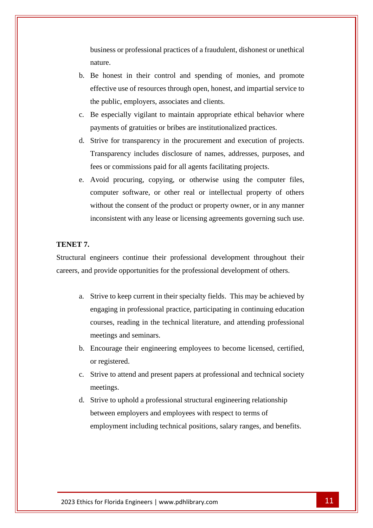business or professional practices of a fraudulent, dishonest or unethical nature.

- b. Be honest in their control and spending of monies, and promote effective use of resources through open, honest, and impartial service to the public, employers, associates and clients.
- c. Be especially vigilant to maintain appropriate ethical behavior where payments of gratuities or bribes are institutionalized practices.
- d. Strive for transparency in the procurement and execution of projects. Transparency includes disclosure of names, addresses, purposes, and fees or commissions paid for all agents facilitating projects.
- e. Avoid procuring, copying, or otherwise using the computer files, computer software, or other real or intellectual property of others without the consent of the product or property owner, or in any manner inconsistent with any lease or licensing agreements governing such use.

# **TENET 7.**

Structural engineers continue their professional development throughout their careers, and provide opportunities for the professional development of others.

- a. Strive to keep current in their specialty fields. This may be achieved by engaging in professional practice, participating in continuing education courses, reading in the technical literature, and attending professional meetings and seminars.
- b. Encourage their engineering employees to become licensed, certified, or registered.
- c. Strive to attend and present papers at professional and technical society meetings.
- d. Strive to uphold a professional structural engineering relationship between employers and employees with respect to terms of employment including technical positions, salary ranges, and benefits.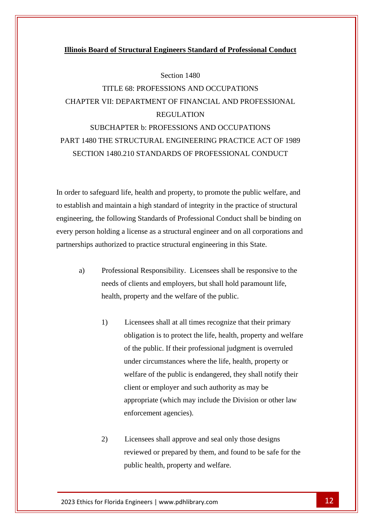#### **Illinois Board of Structural Engineers Standard of Professional Conduct**

#### Section 1480

# TITLE 68: PROFESSIONS AND OCCUPATIONS CHAPTER VII: DEPARTMENT OF FINANCIAL AND PROFESSIONAL REGULATION SUBCHAPTER b: PROFESSIONS AND OCCUPATIONS

# PART 1480 THE STRUCTURAL ENGINEERING PRACTICE ACT OF 1989 SECTION 1480.210 STANDARDS OF PROFESSIONAL CONDUCT

In order to safeguard life, health and property, to promote the public welfare, and to establish and maintain a high standard of integrity in the practice of structural engineering, the following Standards of Professional Conduct shall be binding on every person holding a license as a structural engineer and on all corporations and partnerships authorized to practice structural engineering in this State.

- a) Professional Responsibility. Licensees shall be responsive to the needs of clients and employers, but shall hold paramount life, health, property and the welfare of the public.
	- 1) Licensees shall at all times recognize that their primary obligation is to protect the life, health, property and welfare of the public. If their professional judgment is overruled under circumstances where the life, health, property or welfare of the public is endangered, they shall notify their client or employer and such authority as may be appropriate (which may include the Division or other law enforcement agencies).
	- 2) Licensees shall approve and seal only those designs reviewed or prepared by them, and found to be safe for the public health, property and welfare.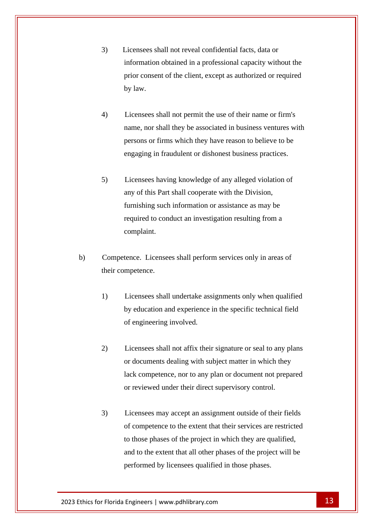- 3) Licensees shall not reveal confidential facts, data or information obtained in a professional capacity without the prior consent of the client, except as authorized or required by law.
- 4) Licensees shall not permit the use of their name or firm's name, nor shall they be associated in business ventures with persons or firms which they have reason to believe to be engaging in fraudulent or dishonest business practices.
- 5) Licensees having knowledge of any alleged violation of any of this Part shall cooperate with the Division, furnishing such information or assistance as may be required to conduct an investigation resulting from a complaint.
- b) Competence. Licensees shall perform services only in areas of their competence.
	- 1) Licensees shall undertake assignments only when qualified by education and experience in the specific technical field of engineering involved.
	- 2) Licensees shall not affix their signature or seal to any plans or documents dealing with subject matter in which they lack competence, nor to any plan or document not prepared or reviewed under their direct supervisory control.
	- 3) Licensees may accept an assignment outside of their fields of competence to the extent that their services are restricted to those phases of the project in which they are qualified, and to the extent that all other phases of the project will be performed by licensees qualified in those phases.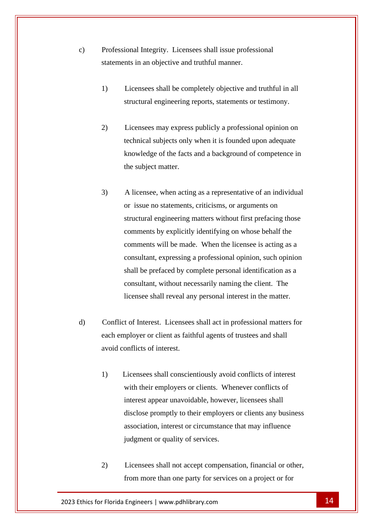- c) Professional Integrity. Licensees shall issue professional statements in an objective and truthful manner.
	- 1) Licensees shall be completely objective and truthful in all structural engineering reports, statements or testimony.
	- 2) Licensees may express publicly a professional opinion on technical subjects only when it is founded upon adequate knowledge of the facts and a background of competence in the subject matter.
	- 3) A licensee, when acting as a representative of an individual or issue no statements, criticisms, or arguments on structural engineering matters without first prefacing those comments by explicitly identifying on whose behalf the comments will be made. When the licensee is acting as a consultant, expressing a professional opinion, such opinion shall be prefaced by complete personal identification as a consultant, without necessarily naming the client. The licensee shall reveal any personal interest in the matter.
- d) Conflict of Interest. Licensees shall act in professional matters for each employer or client as faithful agents of trustees and shall avoid conflicts of interest.
	- 1) Licensees shall conscientiously avoid conflicts of interest with their employers or clients. Whenever conflicts of interest appear unavoidable, however, licensees shall disclose promptly to their employers or clients any business association, interest or circumstance that may influence judgment or quality of services.
	- 2) Licensees shall not accept compensation, financial or other, from more than one party for services on a project or for

2023 Ethics for Florida Engineers | www.pdhlibrary.com 14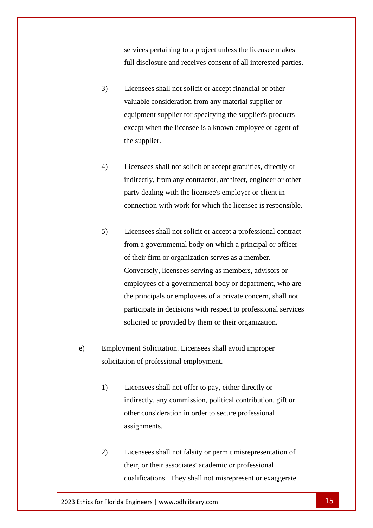services pertaining to a project unless the licensee makes full disclosure and receives consent of all interested parties.

- 3) Licensees shall not solicit or accept financial or other valuable consideration from any material supplier or equipment supplier for specifying the supplier's products except when the licensee is a known employee or agent of the supplier.
- 4) Licensees shall not solicit or accept gratuities, directly or indirectly, from any contractor, architect, engineer or other party dealing with the licensee's employer or client in connection with work for which the licensee is responsible.
- 5) Licensees shall not solicit or accept a professional contract from a governmental body on which a principal or officer of their firm or organization serves as a member. Conversely, licensees serving as members, advisors or employees of a governmental body or department, who are the principals or employees of a private concern, shall not participate in decisions with respect to professional services solicited or provided by them or their organization.
- e) Employment Solicitation. Licensees shall avoid improper solicitation of professional employment.
	- 1) Licensees shall not offer to pay, either directly or indirectly, any commission, political contribution, gift or other consideration in order to secure professional assignments.
	- 2) Licensees shall not falsity or permit misrepresentation of their, or their associates' academic or professional qualifications. They shall not misrepresent or exaggerate

2023 Ethics for Florida Engineers | www.pdhlibrary.com 15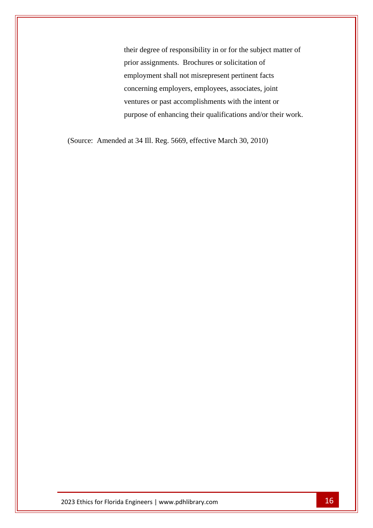their degree of responsibility in or for the subject matter of prior assignments. Brochures or solicitation of employment shall not misrepresent pertinent facts concerning employers, employees, associates, joint ventures or past accomplishments with the intent or purpose of enhancing their qualifications and/or their work.

(Source: Amended at 34 Ill. Reg. 5669, effective March 30, 2010)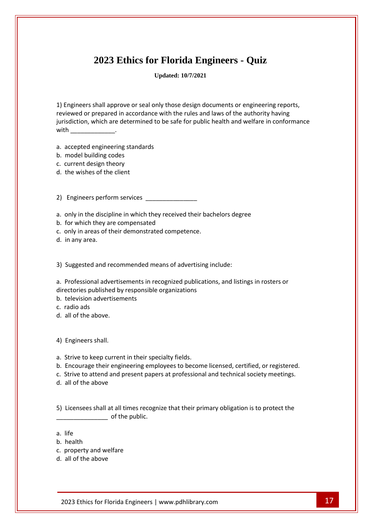# **2023 Ethics for Florida Engineers - Quiz**

**Updated: 10/7/2021**

1) Engineers shall approve or seal only those design documents or engineering reports, reviewed or prepared in accordance with the rules and laws of the authority having jurisdiction, which are determined to be safe for public health and welfare in conformance  $with$   $\qquad \qquad$ 

a. accepted engineering standards

- b. model building codes
- c. current design theory
- d. the wishes of the client

2) Engineers perform services

- a. only in the discipline in which they received their bachelors degree
- b. for which they are compensated
- c. only in areas of their demonstrated competence.
- d. in any area.

3) Suggested and recommended means of advertising include:

a. Professional advertisements in recognized publications, and listings in rosters or directories published by responsible organizations

- b. television advertisements
- c. radio ads
- d. all of the above.

4) Engineers shall.

- a. Strive to keep current in their specialty fields.
- b. Encourage their engineering employees to become licensed, certified, or registered.
- c. Strive to attend and present papers at professional and technical society meetings.
- d. all of the above

5) Licensees shall at all times recognize that their primary obligation is to protect the  $\bullet$  of the public.

- a. life
- b. health
- c. property and welfare
- d. all of the above